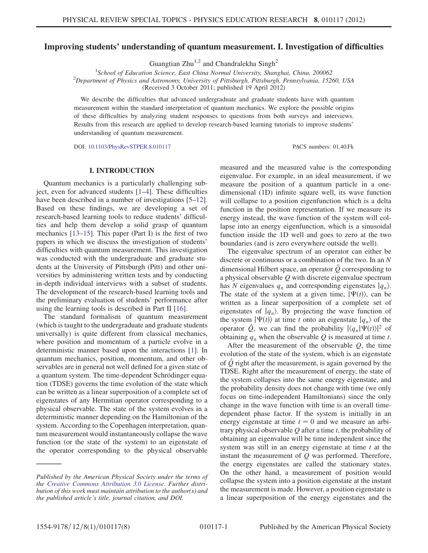# Improving students' understanding of quantum measurement. I. Investigation of difficulties

Guangtian  $Zhu^{1,2}$  and Chandralekha Singh<sup>2</sup>

<sup>1</sup>School of Education Science, East China Normal University, Shanghai, China, 200062<sup>2</sup><br><sup>2</sup>Department of Physics and Astronomy University of Pittsburgh Pittsburgh Pannsylvania, 152  $^{2}$ Department of Physics and Astronomy, University of Pittsburgh, Pittsburgh, Pennsylvania, 15260, USA (Received 3 October 2011; published 19 April 2012)

We describe the difficulties that advanced undergraduate and graduate students have with quantum measurement within the standard interpretation of quantum mechanics. We explore the possible origins of these difficulties by analyzing student responses to questions from both surveys and interviews. Results from this research are applied to develop research-based learning tutorials to improve students' understanding of quantum measurement.

DOI: [10.1103/PhysRevSTPER.8.010117](http://dx.doi.org/10.1103/PhysRevSTPER.8.010117) PACS numbers: 01.40.Fk

#### I. INTRODUCTION

Quantum mechanics is a particularly challenging subject, even for advanced students [[1](#page-6-0)[–4](#page-6-1)]. These difficulties have been described in a number of investigations [\[5](#page-6-2)–[12\]](#page-6-3). Based on these findings, we are developing a set of research-based learning tools to reduce students' difficulties and help them develop a solid grasp of quantum mechanics [\[13–](#page-6-4)[15](#page-7-0)]. This paper (Part I) is the first of two papers in which we discuss the investigation of students' difficulties with quantum measurement. This investigation was conducted with the undergraduate and graduate students at the University of Pittsburgh (Pitt) and other universities by administering written tests and by conducting in-depth individual interviews with a subset of students. The development of the research-based learning tools and the preliminary evaluation of students' performance after using the learning tools is described in Part II [\[16](#page-7-1)].

The standard formalism of quantum measurement (which is taught to the undergraduate and graduate students universally) is quite different from classical mechanics, where position and momentum of a particle evolve in a deterministic manner based upon the interactions [[1](#page-6-0)]. In quantum mechanics, position, momentum, and other observables are in general not well defined for a given state of a quantum system. The time-dependent Schrödinger equation (TDSE) governs the time evolution of the state which can be written as a linear superposition of a complete set of eigenstates of any Hermitian operator corresponding to a physical observable. The state of the system evolves in a deterministic manner depending on the Hamiltonian of the system. According to the Copenhagen interpretation, quantum measurement would instantaneously collapse the wave function (or the state of the system) to an eigenstate of the operator corresponding to the physical observable measured and the measured value is the corresponding eigenvalue. For example, in an ideal measurement, if we measure the position of a quantum particle in a onedimensional (1D) infinite square well, its wave function will collapse to a position eigenfunction which is a delta function in the position representation. If we measure its energy instead, the wave function of the system will collapse into an energy eigenfunction, which is a sinusoidal function inside the 1D well and goes to zero at the two boundaries (and is zero everywhere outside the well).

The eigenvalue spectrum of an operator can either be discrete or continuous or a combination of the two. In an N dimensional Hilbert space, an operator  $\hat{Q}$  corresponding to a physical observable Q with discrete eigenvalue spectrum has N eigenvalues  $q_n$  and corresponding eigenstates  $|q_n\rangle$ . The state of the system at a given time,  $|\Psi(t)\rangle$ , can be written as a linear superposition of a complete set of eigenstates of  $|q_n\rangle$ . By projecting the wave function of the system  $|\Psi(t)\rangle$  at time t onto an eigenstate  $|q_n\rangle$  of the operator  $\hat{Q}$ , we can find the probability  $|\langle q_n|\Psi(t)\rangle|^2$  of obtaining  $q_n$  when the observable Q is measured at time t.

After the measurement of the observable  $Q$ , the time evolution of the state of the system, which is an eigenstate of  $\hat{Q}$  right after the measurement, is again governed by the TDSE. Right after the measurement of energy, the state of the system collapses into the same energy eigenstate, and the probability density does not change with time (we only focus on time-independent Hamiltonians) since the only change in the wave function with time is an overall timedependent phase factor. If the system is initially in an energy eigenstate at time  $t = 0$  and we measure an arbitrary physical observable  $Q$  after a time  $t$ , the probability of obtaining an eigenvalue will be time independent since the system was still in an energy eigenstate at time  $t$  at the instant the measurement of  $Q$  was performed. Therefore, the energy eigenstates are called the stationary states. On the other hand, a measurement of position would collapse the system into a position eigenstate at the instant the measurement is made. However, a position eigenstate is a linear superposition of the energy eigenstates and the

Published by the American Physical Society under the terms of the [Creative Commons Attribution 3.0 License.](http://creativecommons.org/licenses/by/3.0/) Further distribution of this work must maintain attribution to the author(s) and the published article's title, journal citation, and DOI.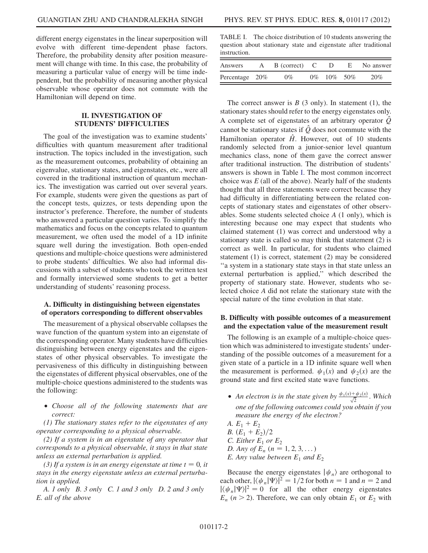different energy eigenstates in the linear superposition will evolve with different time-dependent phase factors. Therefore, the probability density after position measurement will change with time. In this case, the probability of measuring a particular value of energy will be time independent, but the probability of measuring another physical observable whose operator does not commute with the Hamiltonian will depend on time.

# II. INVESTIGATION OF STUDENTS' DIFFICULTIES

The goal of the investigation was to examine students' difficulties with quantum measurement after traditional instruction. The topics included in the investigation, such as the measurement outcomes, probability of obtaining an eigenvalue, stationary states, and eigenstates, etc., were all covered in the traditional instruction of quantum mechanics. The investigation was carried out over several years. For example, students were given the questions as part of the concept tests, quizzes, or tests depending upon the instructor's preference. Therefore, the number of students who answered a particular question varies. To simplify the mathematics and focus on the concepts related to quantum measurement, we often used the model of a 1D infinite square well during the investigation. Both open-ended questions and multiple-choice questions were administered to probe students' difficulties. We also had informal discussions with a subset of students who took the written test and formally interviewed some students to get a better understanding of students' reasoning process.

### A. Difficulty in distinguishing between eigenstates of operators corresponding to different observables

The measurement of a physical observable collapses the wave function of the quantum system into an eigenstate of the corresponding operator. Many students have difficulties distinguishing between energy eigenstates and the eigenstates of other physical observables. To investigate the pervasiveness of this difficulty in distinguishing between the eigenstates of different physical observables, one of the multiple-choice questions administered to the students was the following:

• Choose all of the following statements that are correct:

(1) The stationary states refer to the eigenstates of any operator corresponding to a physical observable.

(2) If a system is in an eigenstate of any operator that corresponds to a physical observable, it stays in that state unless an external perturbation is applied.

(3) If a system is in an energy eigenstate at time  $t = 0$ , it stays in the energy eigenstate unless an external perturbation is applied.

A. 1 only B. 3 only C. 1 and 3 only D. 2 and 3 only E. all of the above

<span id="page-1-0"></span>TABLE I. The choice distribution of 10 students answering the question about stationary state and eigenstate after traditional instruction.

| Answers        | B (correct) C | $\Box$          | Е | No answer |
|----------------|---------------|-----------------|---|-----------|
| Percentage 20% | $0\%$         | $0\%$ 10\% 50\% |   | 20%       |

The correct answer is  $B(3 \text{ only})$ . In statement (1), the stationary states should refer to the energy eigenstates only. A complete set of eigenstates of an arbitrary operator  $\ddot{Q}$ cannot be stationary states if  $\hat{Q}$  does not commute with the Hamiltonian operator  $\hat{H}$ . However, out of 10 students randomly selected from a junior-senior level quantum mechanics class, none of them gave the correct answer after traditional instruction. The distribution of students' answers is shown in Table [I.](#page-1-0) The most common incorrect choice was  $E$  (all of the above). Nearly half of the students thought that all three statements were correct because they had difficulty in differentiating between the related concepts of stationary states and eigenstates of other observables. Some students selected choice  $A$  (1 only), which is interesting because one may expect that students who claimed statement (1) was correct and understood why a stationary state is called so may think that statement (2) is correct as well. In particular, for students who claimed statement (1) is correct, statement (2) may be considered ''a system in a stationary state stays in that state unless an external perturbation is applied,'' which described the property of stationary state. However, students who selected choice A did not relate the stationary state with the special nature of the time evolution in that state.

### B. Difficulty with possible outcomes of a measurement and the expectation value of the measurement result

The following is an example of a multiple-choice question which was administered to investigate students' understanding of the possible outcomes of a measurement for a given state of a particle in a 1D infinite square well when the measurement is performed.  $\psi_1(x)$  and  $\psi_2(x)$  are the ground state and first excited state wave functions.

- An electron is in the state given by  $\frac{\psi_1(x) + \psi_2(x)}{\sqrt{2}}$ . Which one of the following outcomes could you obtain if you measure the energy of the electron?
- A.  $E_1 + E_2$
- *B.*  $(E_1 + E_2)/2$
- C. Either  $E_1$  or  $E_2$
- D. Any of  $E_n$   $(n = 1, 2, 3, ...)$
- E. Any value between  $E_1$  and  $E_2$

Because the energy eigenstates  $|\psi_n\rangle$  are orthogonal to each other,  $|\langle \psi_n | \Psi \rangle|^2 = 1/2$  for both  $n = 1$  and  $n = 2$  and  $|\langle \psi_n | \Psi \rangle|^2 = 0$  for all the other energy eigenstates  $E_n$  (n > 2). Therefore, we can only obtain  $E_1$  or  $E_2$  with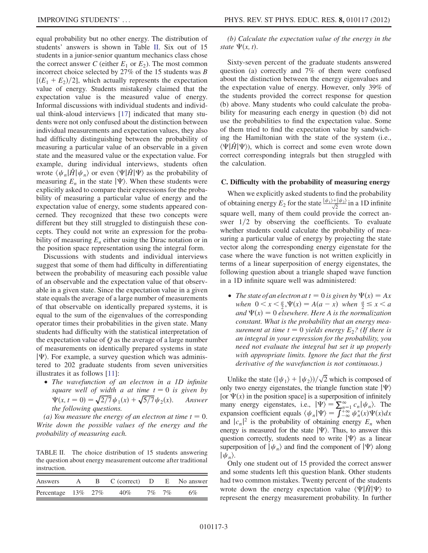equal probability but no other energy. The distribution of students' answers is shown in Table [II.](#page-2-0) Six out of 15 students in a junior-senior quantum mechanics class chose the correct answer C (either  $E_1$  or  $E_2$ ). The most common incorrect choice selected by 27% of the 15 students was B  $[(E_1 + E_2)/2]$ , which actually represents the expectation value of energy. Students mistakenly claimed that the expectation value is the measured value of energy. Informal discussions with individual students and individual think-aloud interviews [[17](#page-7-2)] indicated that many students were not only confused about the distinction between individual measurements and expectation values, they also had difficulty distinguishing between the probability of measuring a particular value of an observable in a given state and the measured value or the expectation value. For example, during individual interviews, students often wrote  $\langle \psi_n|\hat{H}|\psi_n\rangle$  or even  $\langle \Psi|\hat{H}|\Psi\rangle$  as the probability of measuring  $E_n$  in the state  $|\Psi\rangle$ . When these students were explicitly asked to compare their expressions for the probability of measuring a particular value of energy and the expectation value of energy, some students appeared concerned. They recognized that these two concepts were different but they still struggled to distinguish these concepts. They could not write an expression for the probability of measuring  $E_n$  either using the Dirac notation or in the position space representation using the integral form.

Discussions with students and individual interviews suggest that some of them had difficulty in differentiating between the probability of measuring each possible value of an observable and the expectation value of that observable in a given state. Since the expectation value in a given state equals the average of a large number of measurements of that observable on identically prepared systems, it is equal to the sum of the eigenvalues of the corresponding operator times their probabilities in the given state. Many students had difficulty with the statistical interpretation of the expectation value of  $Q$  as the average of a large number of measurements on identically prepared systems in state  $|\Psi\rangle$ . For example, a survey question which was administered to 202 graduate students from seven universities illustrates it as follows [\[11\]](#page-6-5):

• The wavefunction of an electron in a 1D infinite square well of width a at time  $t = 0$  is given by  $\Psi(x, t = 0) = \sqrt{2/7} \psi_1(x) + \sqrt{5/7} \psi_2(x)$ . Answer the following questions.

(a) You measure the energy of an electron at time  $t = 0$ . Write down the possible values of the energy and the probability of measuring each.

<span id="page-2-0"></span>TABLE II. The choice distribution of 15 students answering the question about energy measurement outcome after traditional instruction.

| Answers               | $\bf{B}$ | $C$ (correct) $D$ |             | E No answer |
|-----------------------|----------|-------------------|-------------|-------------|
| Percentage $13\%$ 27% |          | 40%               | $7\%$ $7\%$ | 6%          |

(b) Calculate the expectation value of the energy in the state  $\Psi(x, t)$ .

Sixty-seven percent of the graduate students answered question (a) correctly and 7% of them were confused about the distinction between the energy eigenvalues and the expectation value of energy. However, only 39% of the students provided the correct response for question (b) above. Many students who could calculate the probability for measuring each energy in question (b) did not use the probabilities to find the expectation value. Some of them tried to find the expectation value by sandwiching the Hamiltonian with the state of the system (i.e.,  $\langle \Psi | \hat{H} | \Psi \rangle$ , which is correct and some even wrote down correct corresponding integrals but then struggled with the calculation.

#### C. Difficulty with the probability of measuring energy

When we explicitly asked students to find the probability of obtaining energy  $E_2$  for the state  $\frac{|\psi_1\rangle + |\psi_2\rangle}{\sqrt{2}}$  in a 1D infinite square well, many of them could provide the correct answer  $1/2$  by observing the coefficients. To evaluate whether students could calculate the probability of measuring a particular value of energy by projecting the state vector along the corresponding energy eigenstate for the case where the wave function is not written explicitly in terms of a linear superposition of energy eigenstates, the following question about a triangle shaped wave function in a 1D infinite square well was administered:

• The state of an electron at  $t = 0$  is given by  $\Psi(x) = Ax$ when  $0 \le x \le \frac{a}{2}, \Psi(x) = A(a - x)$  when  $\frac{a}{2} \le x \le a$ and  $\Psi(x) = 0$  elsewhere. Here A is the normalization constant. What is the probability that an energy measurement at time  $t = 0$  yields energy  $E_2$ ? (If there is an integral in your expression for the probability, you need not evaluate the integral but set it up properly with appropriate limits. Ignore the fact that the first derivative of the wavefunction is not continuous.)

Unlike the state  $(\vert \psi_1 \rangle + \vert \psi_2 \rangle)/\sqrt{2}$  which is composed of only two energy eigenstates, the triangle function state  $|\Psi\rangle$ [or  $\Psi(x)$  in the position space] is a superposition of infinitely many energy eigenstates, i.e.,  $|\Psi\rangle = \sum_{n=1}^{\infty} c_n |\psi_n\rangle$ . The expansion coefficient equals  $\langle \psi_n | \Psi \rangle = \overline{\int_{-\infty}^{+\infty}} \psi_n^*(x) \Psi(x) dx$ and  $|c_n|^2$  is the probability of obtaining energy  $E_n$  when energy is measured for the state  $|\Psi\rangle$ . Thus, to answer this question correctly, students need to write  $|\Psi\rangle$  as a linear superposition of  $|\psi_n\rangle$  and find the component of  $|\Psi\rangle$  along  $|\psi_n\rangle$ .

Only one student out of 15 provided the correct answer and some students left this question blank. Other students had two common mistakes. Twenty percent of the students wrote down the energy expectation value  $\langle \Psi | \hat{H} | \Psi \rangle$  to represent the energy measurement probability. In further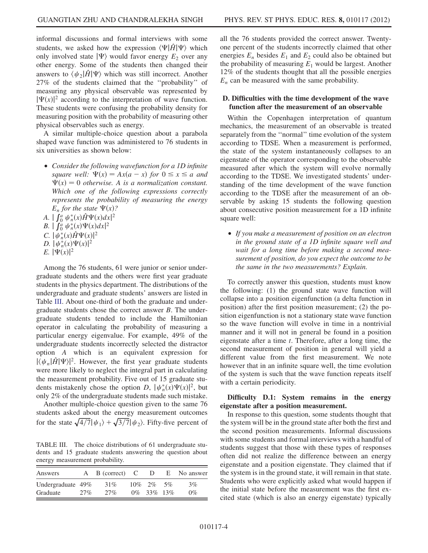informal discussions and formal interviews with some students, we asked how the expression  $\langle \Psi | \hat{H} | \Psi \rangle$  which only involved state  $|\Psi\rangle$  would favor energy  $E_2$  over any other energy. Some of the students then changed their answers to  $\langle \psi_2 | \hat{H} | \Psi \rangle$  which was still incorrect. Another 27% of the students claimed that the ''probability'' of measuring any physical observable was represented by  $|\Psi(x)|^2$  according to the interpretation of wave function. These students were confusing the probability density for measuring position with the probability of measuring other physical observables such as energy.

A similar multiple-choice question about a parabola shaped wave function was administered to 76 students in six universities as shown below:

- Consider the following wavefunction for a 1D infinite square well:  $\Psi(x) = Ax(a - x)$  for  $0 \le x \le a$  and  $\Psi(x) = 0$  otherwise. A is a normalization constant. Which one of the following expressions correctly represents the probability of measuring the energy  $E_n$  for the state  $\Psi(x)$ ?
- A.  $\int_0^a \psi_n^*(x) \hat{H} \Psi(x) dx|^2$
- B.  $\int_0^a \psi_n^*(x) \Psi(x) dx|^2$
- C.  $|\psi_n^*(x)\hat{H}\Psi(x)|^2$
- $D. |\psi_n^*(x)\Psi(x)|^2$
- E.  $|\Psi(x)|^2$

Among the 76 students, 61 were junior or senior undergraduate students and the others were first year graduate students in the physics department. The distributions of the undergraduate and graduate students' answers are listed in Table [III](#page-3-0). About one-third of both the graduate and undergraduate students chose the correct answer B. The undergraduate students tended to include the Hamiltonian operator in calculating the probability of measuring a particular energy eigenvalue. For example, 49% of the undergraduate students incorrectly selected the distractor option A which is an equivalent expression for  $|\langle \psi_n|\hat{H}|\Psi\rangle|^2$ . However, the first year graduate students were more likely to neglect the integral part in calculating the measurement probability. Five out of 15 graduate students mistakenly chose the option D,  $|\psi_n^*(x)\Psi(x)|^2$ , but only 2% of the undergraduate students made such mistake.

Another multiple-choice question given to the same 76 students asked about the energy measurement outcomes for the state  $\sqrt{4/7}|\psi_1\rangle + \sqrt{3/7}|\psi_2\rangle$ . Fifty-five percent of

<span id="page-3-0"></span>TABLE III. The choice distributions of 61 undergraduate students and 15 graduate students answering the question about energy measurement probability.

| Answers           |     | A B (correct) C | $\Box$          | E No answer |
|-------------------|-----|-----------------|-----------------|-------------|
| Undergraduate 49% |     | 31%             | $10\%$ 2\% 5\%  | 3%          |
| Graduate          | 27% | 27%             | $0\%$ 33\% 13\% | $0\%$       |

all the 76 students provided the correct answer. Twentyone percent of the students incorrectly claimed that other energies  $E_n$  besides  $E_1$  and  $E_2$  could also be obtained but the probability of measuring  $E_1$  would be largest. Another 12% of the students thought that all the possible energies  $E_n$  can be measured with the same probability.

#### D. Difficulties with the time development of the wave function after the measurement of an observable

Within the Copenhagen interpretation of quantum mechanics, the measurement of an observable is treated separately from the ''normal'' time evolution of the system according to TDSE. When a measurement is performed, the state of the system instantaneously collapses to an eigenstate of the operator corresponding to the observable measured after which the system will evolve normally according to the TDSE. We investigated students' understanding of the time development of the wave function according to the TDSE after the measurement of an observable by asking 15 students the following question about consecutive position measurement for a 1D infinite square well:

• If you make a measurement of position on an electron in the ground state of a 1D infinite square well and wait for a long time before making a second measurement of position, do you expect the outcome to be the same in the two measurements? Explain.

To correctly answer this question, students must know the following: (1) the ground state wave function will collapse into a position eigenfunction (a delta function in position) after the first position measurement; (2) the position eigenfunction is not a stationary state wave function so the wave function will evolve in time in a nontrivial manner and it will not in general be found in a position eigenstate after a time  $t$ . Therefore, after a long time, the second measurement of position in general will yield a different value from the first measurement. We note however that in an infinite square well, the time evolution of the system is such that the wave function repeats itself with a certain periodicity.

### Difficulty D.1: System remains in the energy eigenstate after a position measurement.

In response to this question, some students thought that the system will be in the ground state after both the first and the second position measurements. Informal discussions with some students and formal interviews with a handful of students suggest that those with these types of responses often did not realize the difference between an energy eigenstate and a position eigenstate. They claimed that if the system is in the ground state, it will remain in that state. Students who were explicitly asked what would happen if the initial state before the measurement was the first excited state (which is also an energy eigenstate) typically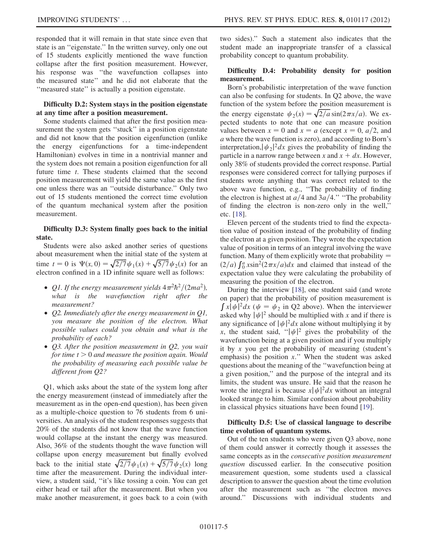responded that it will remain in that state since even that state is an ''eigenstate.'' In the written survey, only one out of 15 students explicitly mentioned the wave function collapse after the first position measurement. However, his response was ''the wavefunction collapses into the measured state'' and he did not elaborate that the ''measured state'' is actually a position eigenstate.

#### Difficulty D.2: System stays in the position eigenstate at any time after a position measurement.

Some students claimed that after the first position measurement the system gets "stuck" in a position eigenstate and did not know that the position eigenfunction (unlike the energy eigenfunctions for a time-independent Hamiltonian) evolves in time in a nontrivial manner and the system does not remain a position eigenfunction for all future time t. These students claimed that the second position measurement will yield the same value as the first one unless there was an ''outside disturbance.'' Only two out of 15 students mentioned the correct time evolution of the quantum mechanical system after the position measurement.

# Difficulty D.3: System finally goes back to the initial state.

Students were also asked another series of questions about measurement when the initial state of the system at time  $t = 0$  is  $\Psi(x, 0) = \sqrt{2/7} \psi_1(x) + \sqrt{5/7} \psi_2(x)$  for an electron confined in a 1D infinite square well as follows:

- *Q1. If the energy measurement yields*  $4\pi^2\hbar^2/(2ma^2)$ , what is the wavefunction right after the wavefunction right after measurement?
- *Q2. Immediately after the energy measurement in Q1*, you measure the position of the electron. What possible values could you obtain and what is the probability of each?
- *Q3. After the position measurement in Q2*, you wait for time  $t > 0$  and measure the position again. Would the probability of measuring each possible value be different from Q2?

Q1, which asks about the state of the system long after the energy measurement (instead of immediately after the measurement as in the open-end question), has been given as a multiple-choice question to 76 students from 6 universities. An analysis of the student responses suggests that 20% of the students did not know that the wave function would collapse at the instant the energy was measured. Also, 36% of the students thought the wave function will collapse upon energy measurement but finally evolved back to the initial state  $\sqrt{2/7} \psi_1(x) + \sqrt{5/7} \psi_2(x)$  long time after the measurement. During the individual interview, a student said, ''it's like tossing a coin. You can get either head or tail after the measurement. But when you make another measurement, it goes back to a coin (with two sides).'' Such a statement also indicates that the student made an inappropriate transfer of a classical probability concept to quantum probability.

### Difficulty D.4: Probability density for position measurement.

Born's probabilistic interpretation of the wave function can also be confusing for students. In Q2 above, the wave function of the system before the position measurement is the energy eigenstate  $\psi_2(x) = \sqrt{2/a} \sin(2\pi x/a)$ . We expected students to note that one can measure position values between  $x = 0$  and  $x = a$  (except  $x = 0$ ,  $a/2$ , and a where the wave function is zero), and according to Born's interpretation, $|\psi_2|^2 dx$  gives the probability of finding the particle in a narrow range between x and  $x + dx$ . However, only 38% of students provided the correct response. Partial responses were considered correct for tallying purposes if students wrote anything that was correct related to the above wave function, e.g., ''The probability of finding the electron is highest at  $a/4$  and 3a/4." "The probability of finding the electron is non-zero only in the well,'' etc. [\[18\]](#page-7-3).

Eleven percent of the students tried to find the expectation value of position instead of the probability of finding the electron at a given position. They wrote the expectation value of position in terms of an integral involving the wave function. Many of them explicitly wrote that probability  $=$  $\left(\frac{2}{a}\right) \int_0^a x \sin^2(2\pi x/a) dx$  and claimed that instead of the expectation value they were calculating the probability of measuring the position of the electron.

During the interview [\[18\]](#page-7-3), one student said (and wrote on paper) that the probability of position measurement is  $\int x \hat{z} \psi|^2 dx$  ( $\psi = \psi_2$  in Q2 above). When the interviewer asked why  $|\psi|^2$  should be multiplied with x and if there is any significance of  $|\psi|^2 dx$  alone without multiplying it by x, the student said, " $|\psi|^2$  gives the probability of the wavefunction being at a given position and if you multiply it by x you get the probability of measuring (student's emphasis) the position  $x$ ." When the student was asked questions about the meaning of the ''wavefunction being at a given position,'' and the purpose of the integral and its limits, the student was unsure. He said that the reason he wrote the integral is because  $x|\psi|^2 dx$  without an integral looked strange to him. Similar confusion about probability in classical physics situations have been found [[19](#page-7-4)].

# Difficulty D.5: Use of classical language to describe time evolution of quantum systems.

Out of the ten students who were given Q3 above, none of them could answer it correctly though it assesses the same concepts as in the consecutive position measurement question discussed earlier. In the consecutive position measurement question, some students used a classical description to answer the question about the time evolution after the measurement such as ''the electron moves around.'' Discussions with individual students and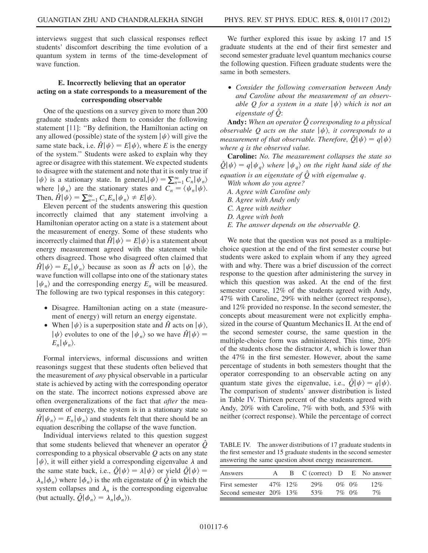interviews suggest that such classical responses reflect students' discomfort describing the time evolution of a quantum system in terms of the time-development of wave function.

# E. Incorrectly believing that an operator acting on a state corresponds to a measurement of the corresponding observable

One of the questions on a survey given to more than 200 graduate students asked them to consider the following statement [[11](#page-6-5)]: ''By definition, the Hamiltonian acting on any allowed (possible) state of the system  $|\psi\rangle$  will give the same state back, i.e.  $\hat{H} |\psi\rangle = E |\psi\rangle$ , where E is the energy of the system.'' Students were asked to explain why they agree or disagree with this statement. We expected students to disagree with the statement and note that it is only true if  $|\psi\rangle$  is a stationary state. In general, $|\psi\rangle = \sum_{n=1}^{\infty} C_n |\psi_n\rangle$ where  $|\psi_n\rangle$  are the stationary states and  $C_n = \langle \psi_n | \psi \rangle$ . Then,  $\hat{H}|\psi\rangle = \sum_{n=1}^{\infty} C_n E_n|\psi_n\rangle \neq E|\psi\rangle$ .

Eleven percent of the students answering this question incorrectly claimed that any statement involving a Hamiltonian operator acting on a state is a statement about the measurement of energy. Some of these students who incorrectly claimed that  $\hat{H}|\psi\rangle = E|\psi\rangle$  is a statement about energy measurement agreed with the statement while others disagreed. Those who disagreed often claimed that  $\hat{H}|\psi\rangle = E_n|\psi_n\rangle$  because as soon as  $\hat{H}$  acts on  $|\psi\rangle$ , the wave function will collapse into one of the stationary states  $|\psi_n\rangle$  and the corresponding energy  $E_n$  will be measured. The following are two typical responses in this category:

- Disagree. Hamiltonian acting on a state (measurement of energy) will return an energy eigenstate.
- When  $|\psi\rangle$  is a superposition state and  $\hat{H}$  acts on  $|\psi\rangle$ ,  $|\psi\rangle$  evolutes to one of the  $|\psi_n\rangle$  so we have  $\hat{H}|\psi\rangle =$  $E_n|\psi_n\rangle$ .

Formal interviews, informal discussions and written reasonings suggest that these students often believed that the measurement of any physical observable in a particular state is achieved by acting with the corresponding operator on the state. The incorrect notions expressed above are often overgeneralizations of the fact that after the measurement of energy, the system is in a stationary state so  $\hat{H}|\psi_n\rangle = E_n|\psi_n\rangle$  and students felt that there should be an equation describing the collapse of the wave function.

Individual interviews related to this question suggest that some students believed that whenever an operator  $\hat{Q}$ corresponding to a physical observable  $Q$  acts on any state  $|\psi\rangle$ , it will either yield a corresponding eigenvalue  $\lambda$  and the same state back, i.e.,  $\hat{Q}|\psi\rangle = \lambda |\psi\rangle$  or yield  $\hat{Q}|\psi\rangle =$  $\lambda_n |\phi_n\rangle$  where  $|\phi_n\rangle$  is the *n*th eigenstate of  $\hat{Q}$  in which the system collapses and  $\lambda_n$  is the corresponding eigenvalue (but actually,  $\hat{Q}|\phi_n\rangle = \lambda_n |\phi_n\rangle$ ).

We further explored this issue by asking 17 and 15 graduate students at the end of their first semester and second semester graduate level quantum mechanics course the following question. Fifteen graduate students were the same in both semesters.

• Consider the following conversation between Andy and Caroline about the measurement of an observable Q for a system in a state  $|\psi\rangle$  which is not an eigenstate of  $\hat{O}$ :

Andy: When an operator  $\hat{Q}$  corresponding to a physical observable Q acts on the state  $|\psi\rangle$ , it corresponds to a measurement of that observable. Therefore,  $\hat{O}(\psi) = q(\psi)$ where q is the observed value.

Caroline: No. The measurement collapses the state so  $\hat{Q}|\psi\rangle = q|\psi_q\rangle$  where  $|\psi_q\rangle$  on the right hand side of the equation is an eigenstate of  $\hat{Q}$  with eigenvalue q.

With whom do you agree?

- A. Agree with Caroline only
- B. Agree with Andy only
- C. Agree with neither
- D. Agree with both
- E. The answer depends on the observable Q.

We note that the question was not posed as a multiplechoice question at the end of the first semester course but students were asked to explain whom if any they agreed with and why. There was a brief discussion of the correct response to the question after administering the survey in which this question was asked. At the end of the first semester course, 12% of the students agreed with Andy, 47% with Caroline, 29% with neither (correct response), and 12% provided no response. In the second semester, the concepts about measurement were not explicitly emphasized in the course of Quantum Mechanics II. At the end of the second semester course, the same question in the multiple-choice form was administered. This time, 20% of the students chose the distractor A, which is lower than the 47% in the first semester. However, about the same percentage of students in both semesters thought that the operator corresponding to an observable acting on any quantum state gives the eigenvalue, i.e.,  $\hat{Q}|\psi\rangle = q|\psi\rangle$ . The comparison of students' answer distribution is listed in Table [IV.](#page-5-0) Thirteen percent of the students agreed with Andy, 20% with Caroline, 7% with both, and 53% with neither (correct response). While the percentage of correct

<span id="page-5-0"></span>TABLE IV. The answer distributions of 17 graduate students in the first semester and 15 graduate students in the second semester answering the same question about energy measurement.

| Answers                    |             | B C (correct) D E No answer |              |       |
|----------------------------|-------------|-----------------------------|--------------|-------|
| First semester             | $47\%$ 12\% | 29%                         | $0\% \, 0\%$ | 12%   |
| Second semester $20\%$ 13% |             | 53%                         | $7\%$ 0\%    | $7\%$ |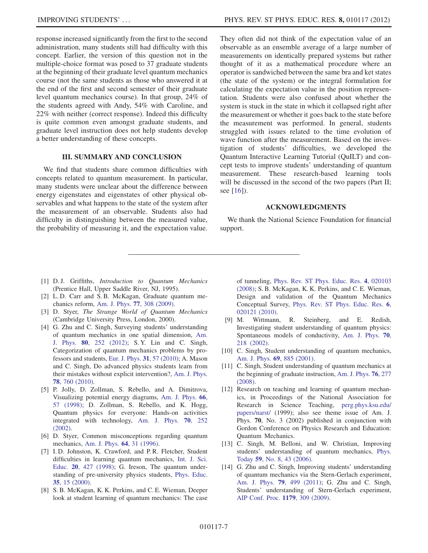response increased significantly from the first to the second administration, many students still had difficulty with this concept. Earlier, the version of this question not in the multiple-choice format was posed to 37 graduate students at the beginning of their graduate level quantum mechanics course (not the same students as those who answered it at the end of the first and second semester of their graduate level quantum mechanics course). In that group, 24% of the students agreed with Andy, 54% with Caroline, and 22% with neither (correct response). Indeed this difficulty is quite common even amongst graduate students, and graduate level instruction does not help students develop a better understanding of these concepts.

# III. SUMMARY AND CONCLUSION

We find that students share common difficulties with concepts related to quantum measurement. In particular, many students were unclear about the difference between energy eigenstates and eigenstates of other physical observables and what happens to the state of the system after the measurement of an observable. Students also had difficulty in distinguishing between the measured value, the probability of measuring it, and the expectation value. They often did not think of the expectation value of an observable as an ensemble average of a large number of measurements on identically prepared systems but rather thought of it as a mathematical procedure where an operator is sandwiched between the same bra and ket states (the state of the system) or the integral formulation for calculating the expectation value in the position representation. Students were also confused about whether the system is stuck in the state in which it collapsed right after the measurement or whether it goes back to the state before the measurement was performed. In general, students struggled with issues related to the time evolution of wave function after the measurement. Based on the investigation of students' difficulties, we developed the Quantum Interactive Learning Tutorial (QuILT) and concept tests to improve students' understanding of quantum measurement. These research-based learning tools will be discussed in the second of the two papers (Part II; see [[16](#page-7-1)]).

# ACKNOWLEDGMENTS

We thank the National Science Foundation for financial support.

- <span id="page-6-0"></span>[1] D.J. Griffiths, *Introduction to Quantum Mechanics* (Prentice Hall, Upper Saddle River, NJ, 1995).
- [2] L. D. Carr and S. B. McKagan, Graduate quantum mechanics reform, [Am. J. Phys.](http://dx.doi.org/10.1119/1.3079689) 77, 308 (2009).
- [3] D. Styer, The Strange World of Quantum Mechanics (Cambridge University Press, London, 2000).
- <span id="page-6-1"></span>[4] G. Zhu and C. Singh, Surveying students' understanding of quantum mechanics in one spatial dimension, [Am.](http://dx.doi.org/10.1119/1.3677653) J. Phys. 80[, 252 \(2012\);](http://dx.doi.org/10.1119/1.3677653) S. Y. Lin and C. Singh, Categorization of quantum mechanics problems by professors and students, [Eur. J. Phys.](http://dx.doi.org/10.1088/0143-0807/31/1/006) 31, 57 (2010); A. Mason and C. Singh, Do advanced physics students learn from their mistakes without explicit intervention?, [Am. J. Phys.](http://dx.doi.org/10.1119/1.3318805) 78[, 760 \(2010\)](http://dx.doi.org/10.1119/1.3318805).
- <span id="page-6-2"></span>[5] P. Jolly, D. Zollman, S. Rebello, and A. Dimitrova, Visualizing potential energy diagrams, [Am. J. Phys.](http://dx.doi.org/10.1119/1.18808) 66, [57 \(1998\)](http://dx.doi.org/10.1119/1.18808); D. Zollman, S. Rebello, and K. Hogg, Quantum physics for everyone: Hands-on activities integrated with technology, [Am. J. Phys.](http://dx.doi.org/10.1119/1.1435347) 70, 252 [\(2002\)](http://dx.doi.org/10.1119/1.1435347).
- [6] D. Styer, Common misconceptions regarding quantum mechanics, [Am. J. Phys.](http://dx.doi.org/10.1119/1.18288) 64, 31 (1996).
- [7] I.D. Johnston, K. Crawford, and P.R. Fletcher, Student difficulties in learning quantum mechanics, [Int. J. Sci.](http://dx.doi.org/10.1080/0950069980200404) Educ. 20[, 427 \(1998\)](http://dx.doi.org/10.1080/0950069980200404); G. Ireson, The quantum understanding of pre-university physics students, [Phys. Educ.](http://dx.doi.org/10.1088/0031-9120/35/1/302) 35[, 15 \(2000\)](http://dx.doi.org/10.1088/0031-9120/35/1/302).
- [8] S. B. McKagan, K. K. Perkins, and C. E. Wieman, Deeper look at student learning of quantum mechanics: The case

of tunneling, [Phys. Rev. ST Phys. Educ. Res.](http://dx.doi.org/10.1103/PhysRevSTPER.4.020103) 4, 020103 [\(2008\)](http://dx.doi.org/10.1103/PhysRevSTPER.4.020103); S. B. McKagan, K. K. Perkins, and C. E. Wieman, Design and validation of the Quantum Mechanics Conceptual Survey, [Phys. Rev. ST Phys. Educ. Res.](http://dx.doi.org/10.1103/PhysRevSTPER.6.020121) 6, [020121 \(2010\).](http://dx.doi.org/10.1103/PhysRevSTPER.6.020121)

- [9] M. Wittmann, R. Steinberg, and E. Redish, Investigating student understanding of quantum physics: Spontaneous models of conductivity, [Am. J. Phys.](http://dx.doi.org/10.1119/1.1447542) 70, [218 \(2002\)](http://dx.doi.org/10.1119/1.1447542).
- [10] C. Singh, Student understanding of quantum mechanics, [Am. J. Phys.](http://dx.doi.org/10.1119/1.1365404) 69, 885 (2001).
- <span id="page-6-5"></span>[11] C. Singh, Student understanding of quantum mechanics at the beginning of graduate instruction, [Am. J. Phys.](http://dx.doi.org/10.1119/1.2825387) 76, 277 [\(2008\)](http://dx.doi.org/10.1119/1.2825387).
- <span id="page-6-3"></span>[12] Research on teaching and learning of quantum mechanics, in Proceedings of the National Association for Research in Science Teaching, [perg.phys.ksu.edu/](perg.phys.ksu.edu/papers/narst/) [papers/narst/](perg.phys.ksu.edu/papers/narst/) (1999); also see theme issue of Am. J. Phys. 70, No. 3 (2002) published in conjunction with Gordon Conference on Physics Research and Education: Quantum Mechanics.
- <span id="page-6-4"></span>[13] C. Singh, M. Belloni, and W. Christian, Improving students' understanding of quantum mechanics, [Phys.](http://dx.doi.org/10.1063/1.2349732) Today 59[, No. 8, 43 \(2006\)](http://dx.doi.org/10.1063/1.2349732).
- [14] G. Zhu and C. Singh, Improving students' understanding of quantum mechanics via the Stern-Gerlach experiment, [Am. J. Phys.](http://dx.doi.org/10.1119/1.3546093) 79, 499 (2011); G. Zhu and C. Singh, Students' understanding of Stern-Gerlach experiment, [AIP Conf. Proc.](http://dx.doi.org/10.1063/1.3266744) 1179, 309 (2009).